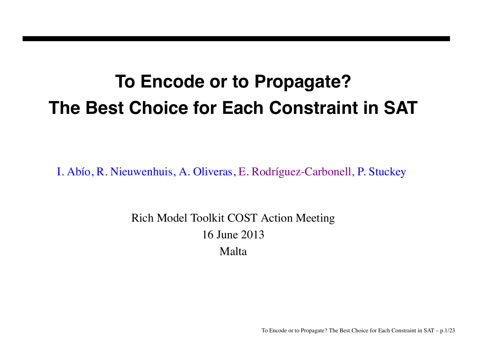# **To Encode or to Propagate? The Best Choice for Each Constraint in SAT**

I. Abío, R. Nieuwenhuis, A. Oliveras, E. Rodríguez-Carbonell, P. Stuckey

Rich Model Toolkit COST Action Meeting 16 June 2013 Malta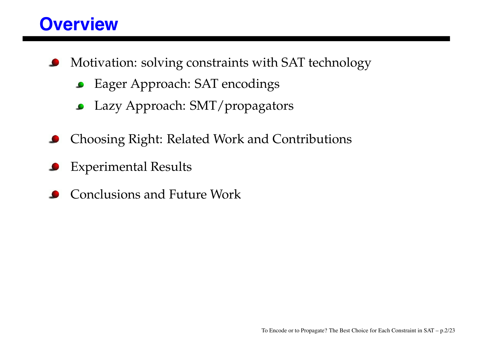#### **Overview**

- Motivation: solving constraints with SAT technology
	- Eager Approach: SAT encodings  $\bullet$
	- Lazy Approach: SMT/propagators
- Choosing Right: Related Work and Contributions
- Experimental Results
- Conclusions and Future Work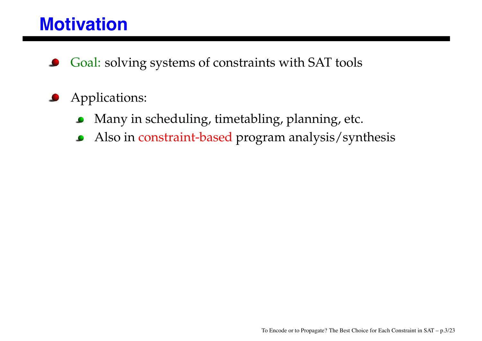#### **Motivation**

- Goal: solving systems of constraints with SAT tools
- Applications:  $\bullet$ 
	- Many in scheduling, timetabling, planning, etc.  $\bullet$
	- Also in constraint-based program analysis/synthesis  $\bullet$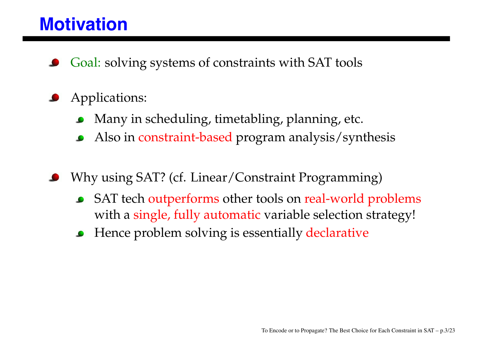#### **Motivation**

Goal: solving systems of constraints with SAT tools

#### Applications:

- Many in scheduling, timetabling, planning, etc.
- Also in constraint-based program analysis/synthesis  $\bullet$
- Why using SAT? (cf. Linear/Constraint Programming)
	- SAT tech outperforms other tools on real-world problems with a single, fully automatic variable selection strategy!
	- Hence problem solving is essentially declarative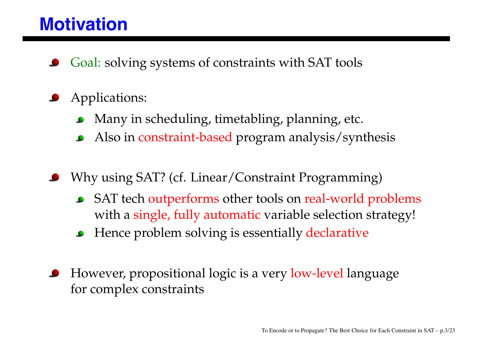#### **Motivation**

Goal: solving systems of constraints with SAT tools

#### Applications:

- Many in scheduling, timetabling, planning, etc.
- Also in constraint-based program analysis/synthesis  $\bullet$
- Why using SAT? (cf. Linear/Constraint Programming)
	- SAT tech outperforms other tools on real-world problems with a single, fully automatic variable selection strategy!
	- Hence problem solving is essentially declarative
- However, propositional logic is a very low-level language for complex constraints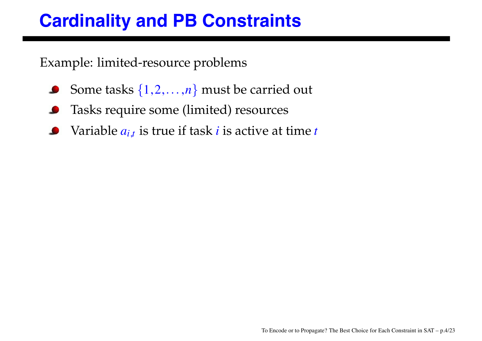# **Cardinality and PB Constraints**

Example: limited-resource problems

- Some tasks {1,2,...,*n*} must be carried out  $\bullet$
- Tasks require some (limited) resources
- Variable *ai*,*<sup>t</sup>* is true if task *i* is active at time *t*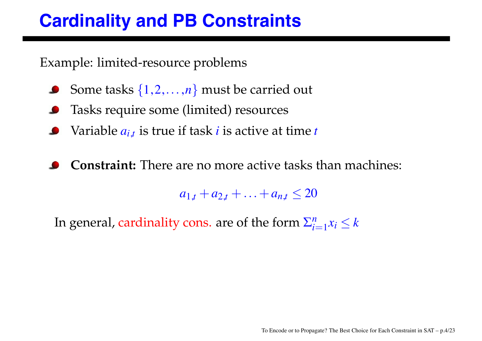# **Cardinality and PB Constraints**

Example: limited-resource problems

- Some tasks {1,2,...,*n*} must be carried out
- Tasks require some (limited) resources
- Variable *ai*,*<sup>t</sup>* is true if task *i* is active at time *t*
- **Constraint:** There are no more active tasks than machines:

 $a_{1,t} + a_{2,t} + \ldots + a_{n,t} \leq 20$ 

In general, cardinality cons. are of the form  $\sum_{i=1}^{n} x_i \leq k$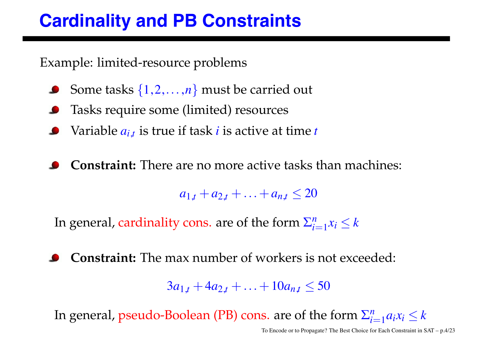# **Cardinality and PB Constraints**

Example: limited-resource problems

- Some tasks {1,2,...,*n*} must be carried out
- Tasks require some (limited) resources
- Variable *ai*,*<sup>t</sup>* is true if task *i* is active at time *t*
- **Constraint:** There are no more active tasks than machines:

 $a_{1,t} + a_{2,t} + \ldots + a_{n,t} \leq 20$ 

In general, cardinality cons. are of the form  $\sum_{i=1}^{n} x_i \leq k$ 

**Constraint:** The max number of workers is not exceeded:

 $3a_{1,t} + 4a_{2,t} + \ldots + 10a_{nt} \leq 50$ 

In general, pseudo-Boolean (PB) cons. are of the form  $\sum_{i=1}^n a_i x_i \leq k$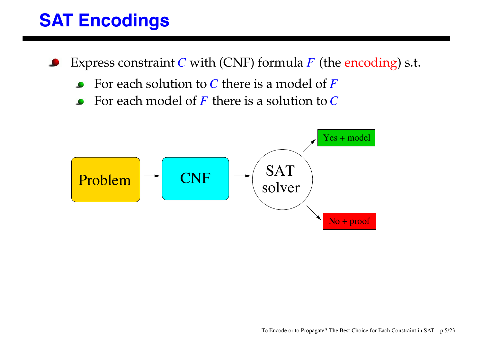## **SAT Encodings**

- Express constraint *C* with (CNF) formula *F* (the encoding) s.t.
	- For each solution to *C* there is a model of *F*
	- For each model of *F* there is a solution to *C*  $\bullet$

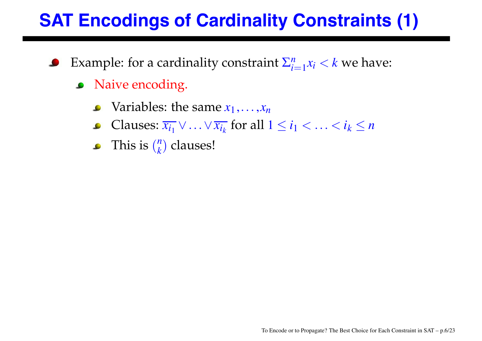# **SAT Encodings of Cardinality Constraints (1)**

- Example: for a cardinality constraint  $\sum_{i=1}^{n} x_i < k$  we have:
	- Naive encoding.  $\bullet$ 
		- Variables: the same  $x_1, \ldots, x_n$
		- Clauses:  $\overline{x_{i_1}} \vee \ldots \vee \overline{x_{i_k}}$  for all  $1 \leq i_1 < \ldots < i_k \leq n$  $\bullet$
		- This is  $\binom{n}{k}$  clauses!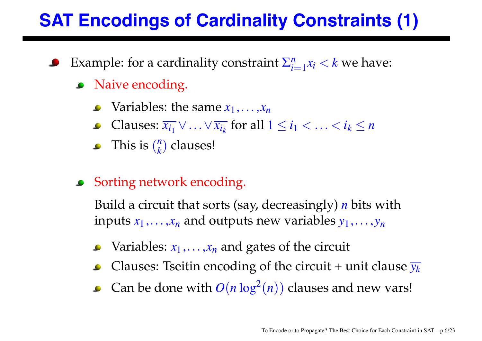# **SAT Encodings of Cardinality Constraints (1)**

- Example: for a cardinality constraint  $\sum_{i=1}^{n} x_i < k$  we have:
	- Naive encoding.
		- $\bullet$  Variables: the same  $x_1, \ldots, x_n$
		- Clauses: *xi*<sup>1</sup> ∨...∨*xik* for all 1 ≤ *i*<sup>1</sup> <...< *ik* ≤ *n*
		- This is  $\binom{n}{k}$  clauses!
	- Sorting network encoding.

Build a circuit that sorts (say, decreasingly) *n* bits with inputs  $x_1, \ldots, x_n$  and outputs new variables  $y_1, \ldots, y_n$ 

- Variables:  $x_1, \ldots, x_n$  and gates of the circuit
- Clauses: Tseitin encoding of the circuit + unit clause  $\overline{y_k}$  $\bullet$
- Can be done with  $O(n \log^2(n))$  clauses and new vars!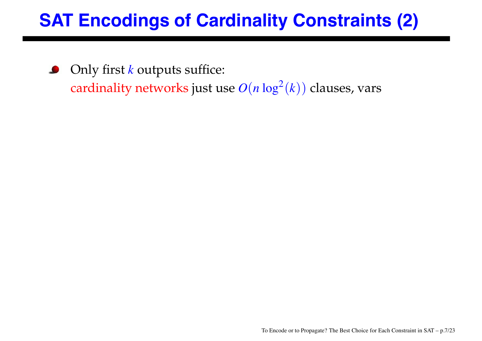# **SAT Encodings of Cardinality Constraints (2)**

Only first *k* outputs suffice:  $\bullet$ cardinality networks just use  $O(n \log^2(k))$  clauses, vars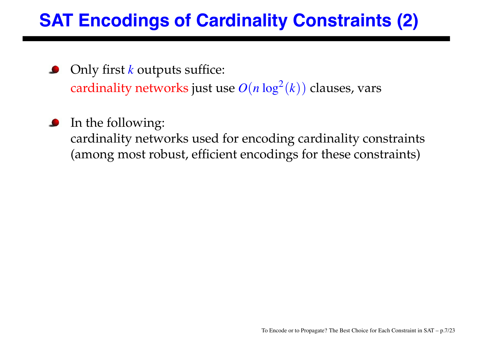# **SAT Encodings of Cardinality Constraints (2)**

- Only first *k* outputs suffice: cardinality networks just use  $O(n \log^2(k))$  clauses, vars
- In the following: cardinality networks used for encoding cardinality constraints (among most robust, efficient encodings for these constraints)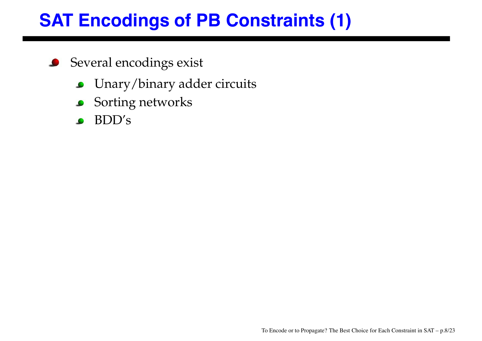# **SAT Encodings of PB Constraints (1)**

- Several encodings exist  $\bullet$ 
	- Unary/binary adder circuits  $\bullet$
	- Sorting networks  $\bullet$
	- BDD's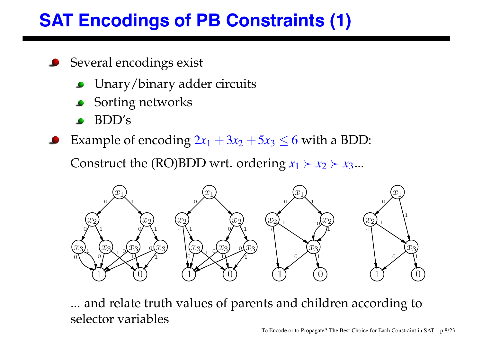# **SAT Encodings of PB Constraints (1)**

- **Several encodings exist** 
	- Unary/binary adder circuits
	- Sorting networks
	- BDD's
- Example of encoding  $2x_1 + 3x_2 + 5x_3 \leq 6$  with a BDD:

Construct the (RO)BDD wrt. ordering  $x_1 \succ x_2 \succ x_3...$ 



... and relate truth values of parents and children according to selector variables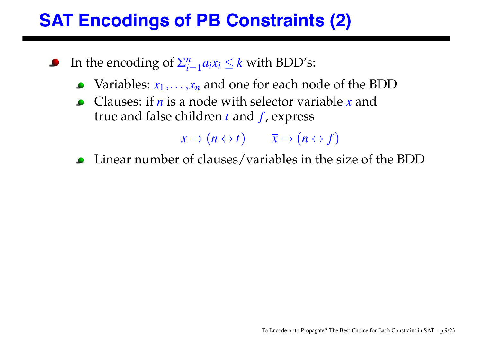# **SAT Encodings of PB Constraints (2)**

- In the encoding of  $\sum_{i=1}^{n} a_i x_i \leq k$  with BDD's:
	- Variables:  $x_1, \ldots, x_n$  and one for each node of the BDD
	- Clauses: if *n* is a node with selector variable *x* and true and false children *t* and *f* , express

 $x \rightarrow (n \leftrightarrow t)$   $\overline{x} \rightarrow (n \leftrightarrow f)$ 

Linear number of clauses/variables in the size of the BDD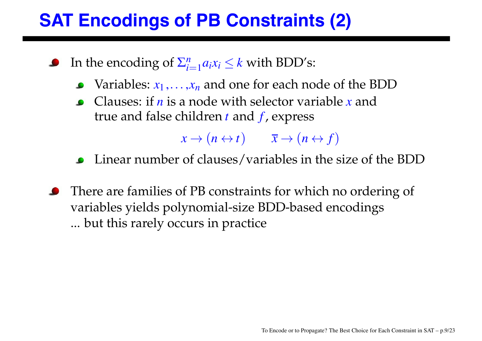# **SAT Encodings of PB Constraints (2)**

- In the encoding of  $\sum_{i=1}^{n} a_i x_i \leq k$  with BDD's:
	- Variables:  $x_1, \ldots, x_n$  and one for each node of the BDD
	- Clauses: if *n* is a node with selector variable *x* and true and false children *t* and *f* , express

 $x \rightarrow (n \leftrightarrow t)$   $\overline{x} \rightarrow (n \leftrightarrow f)$ 

- Linear number of clauses/variables in the size of the BDD
- There are families of PB constraints for which no ordering of variables yields polynomial-size BDD-based encodings ... but this rarely occurs in practice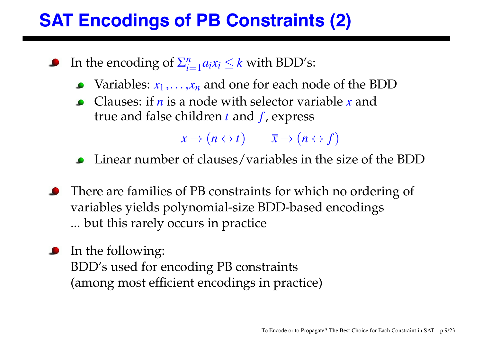# **SAT Encodings of PB Constraints (2)**

- In the encoding of  $\sum_{i=1}^{n} a_i x_i \leq k$  with BDD's:
	- $\bullet$  Variables:  $x_1, \ldots, x_n$  and one for each node of the BDD
	- Clauses: if *n* is a node with selector variable *x* and true and false children *t* and *f* , express

 $x \rightarrow (n \leftrightarrow t)$   $\overline{x} \rightarrow (n \leftrightarrow f)$ 

- Linear number of clauses/variables in the size of the BDD
- There are families of PB constraints for which no ordering of variables yields polynomial-size BDD-based encodings ... but this rarely occurs in practice
- **I**n the following: BDD's used for encoding PB constraints (among most efficient encodings in practice)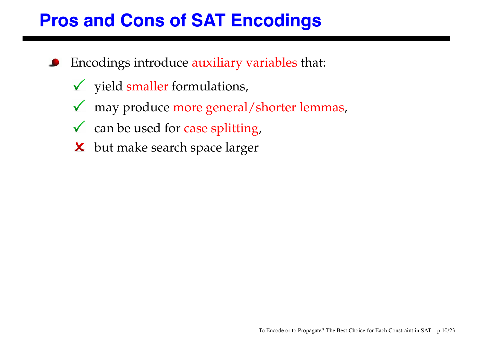## **Pros and Cons of SAT Encodings**

- Encodings introduce auxiliary variables that:
	- $\checkmark$  yield smaller formulations,
	- may produce more general/shorter lemmas,  $\sqrt{ }$
	- $\checkmark$  can be used for case splitting,
	- **X** but make search space larger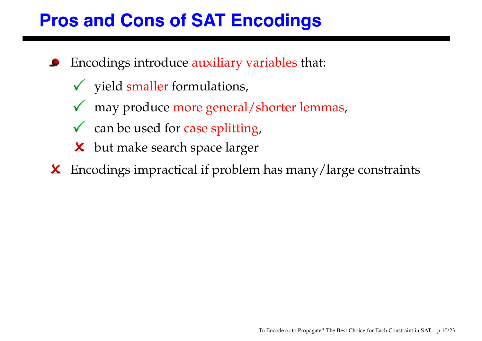# **Pros and Cons of SAT Encodings**

- Encodings introduce auxiliary variables that:
	- $\checkmark$  yield smaller formulations,
	- may produce more general/shorter lemmas,
	- $\checkmark$  can be used for case splitting,
	- **X** but make search space larger
- Encodings impractical if problem has many/large constraints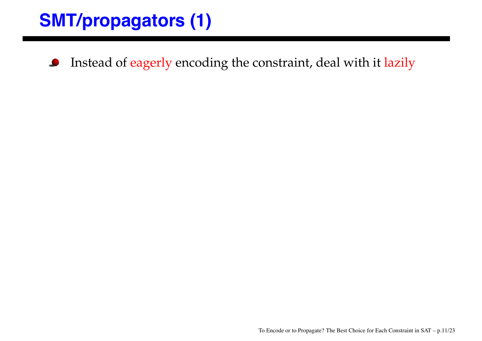Instead of eagerly encoding the constraint, deal with it lazily  $\bullet$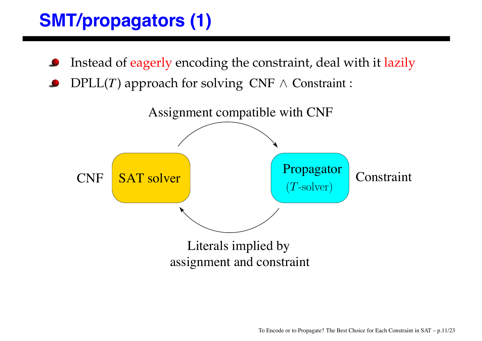- Instead of eagerly encoding the constraint, deal with it lazily
- $DPLL(T)$  approach for solving  $CNF \wedge$  Constraint :

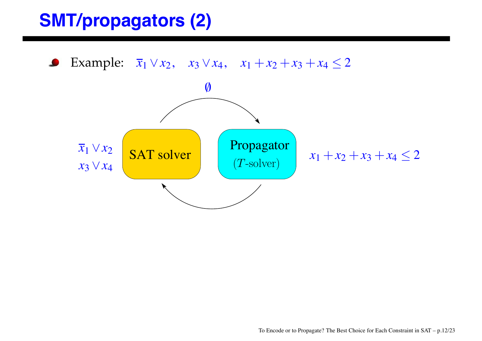Example:  $\bar{x}_1 \vee x_2$ ,  $x_3 \vee x_4$ ,  $x_1 + x_2 + x_3 + x_4 \leq 2$  $\bullet$ 

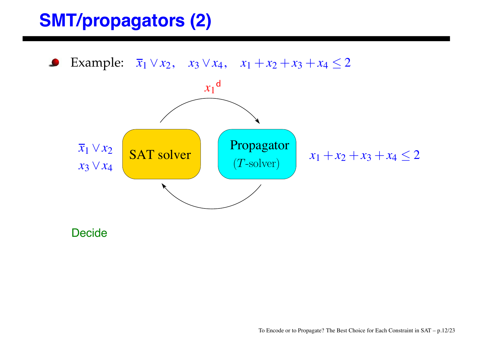Example:  $\bar{x}_1 \vee x_2$ ,  $x_3 \vee x_4$ ,  $x_1 + x_2 + x_3 + x_4 \leq 2$  $\bullet$  $x_1$ <sup>d</sup>  $\overline{x}_1 \vee x_2$  SAT solver (T-solver)  $\overline{x}_1 + x_2 + x_3 + x_4 \leq 2$ *x*<sup>3</sup> ∨*x*<sup>4</sup>

**Decide**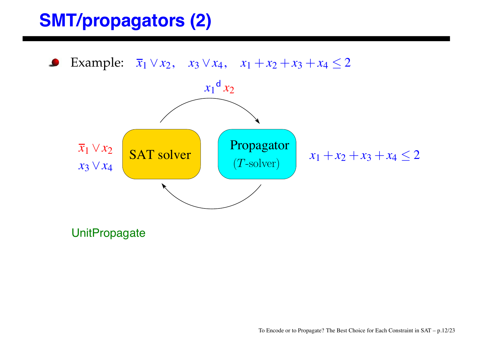Example:  $\bar{x}_1 \vee x_2$ ,  $x_3 \vee x_4$ ,  $x_1 + x_2 + x_3 + x_4 \leq 2$  $\begin{array}{|c|c|c|c|}\n\hline\n\textbf{SAT solver} & & \textbf{Propagator} \\
\hline\n(T\text{-solver}) & & x_1 + x_2 + x_3 + x_4 \leq 2\n\hline\n\end{array}$  $\overline{x}_1 \vee x_2$ <br> $x_3 \vee x_4$  $x_1$ <sup>d</sup>  $x_2$ 

**UnitPropagate**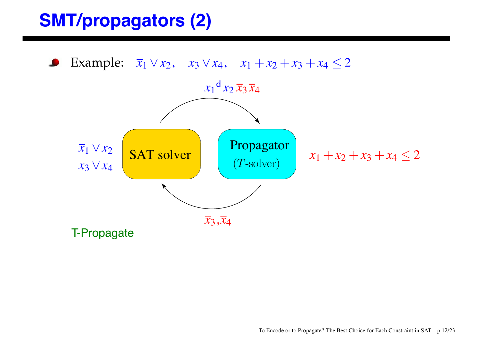Example:  $\overline{x}_1 \vee x_2$ ,  $x_3 \vee x_4$ ,  $x_1 + x_2 + x_3 + x_4 \leq 2$  $\overline{x}_1 \vee x_2$  SAT solver (T-solver)  $\overline{x}_1 + x_2 + x_3 + x_4 \leq 2$ *x*<sup>3</sup> ∨*x*<sup>4</sup>  $x_1$ <sup>d</sup>  $x_2$   $\overline{x}_3$   $\overline{x}_4$  $\overline{x}_3, \overline{x}_4$ T-Propagate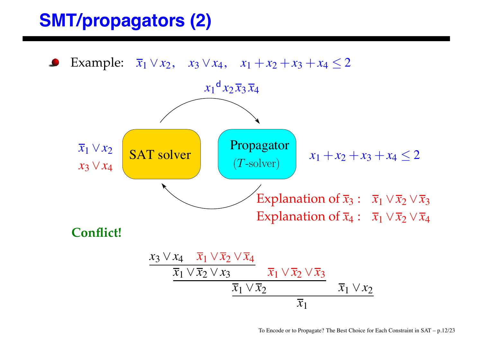Example:  $\bar{x}_1 \vee x_2$ ,  $x_3 \vee x_4$ ,  $x_1 + x_2 + x_3 + x_4 \leq 2$  $\begin{aligned}\n\overline{x}_1 \vee x_2 \\
\overline{x}_3 \vee x_4\n\end{aligned}$  **SAT solver**  $\begin{cases}\n\text{Propagator} \\
(T\text{-solver})\n\end{cases}$   $\begin{aligned}\nx_1 + x_2 + x_3 + x_4 \leq 2\n\end{aligned}$  $x_1$ <sup>d</sup>  $x_2 \overline{x}_3 \overline{x}_4$ Explanation of  $\overline{x}_3$  :  $\overline{x}_1 \vee \overline{x}_2 \vee \overline{x}_3$ Explanation of  $\overline{x}_4$  :  $\overline{x}_1 \vee \overline{x}_2 \vee \overline{x}_4$ **Conflict!** *x*<sup>3</sup> ∨*x*<sup>4</sup> *x*<sup>1</sup> ∨*x*<sup>2</sup> ∨*x*<sup>4</sup>  $\overline{x}_1 \vee \overline{x}_2 \vee x_3$   $\overline{x}_1 \vee \overline{x}_2 \vee \overline{x}_3$ 

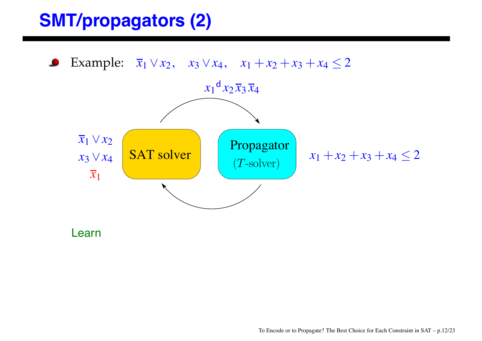Example:  $\overline{x}_1 \vee x_2$ ,  $x_3 \vee x_4$ ,  $x_1 + x_2 + x_3 + x_4 \leq 2$  $\bullet$  $x_1$ <sup>d</sup>  $x_2 \overline{x}_3 \overline{x}_4$ *x*<sup>1</sup> ∨*x*<sup>2</sup> SAT solver  $\begin{array}{|c|c|c|c|} \hline \textbf{Propagator} & x_1 + x_2 + x_3 + x_4 \leq 2 \\ \hline (T\text{-solver}) & & \end{array}$ *x*<sup>3</sup> ∨*x*<sup>4</sup>  $\overline{x}_1$ 

Learn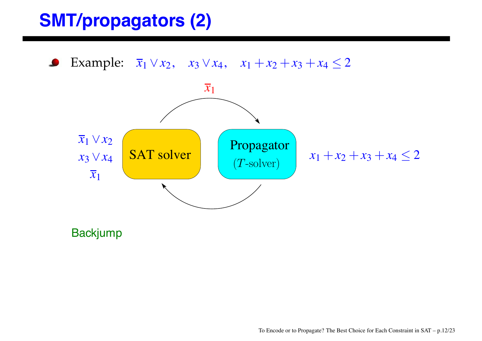Example:  $\bar{x}_1 \vee x_2$ ,  $x_3 \vee x_4$ ,  $x_1 + x_2 + x_3 + x_4 \leq 2$  $\bullet$ 



**Backjump**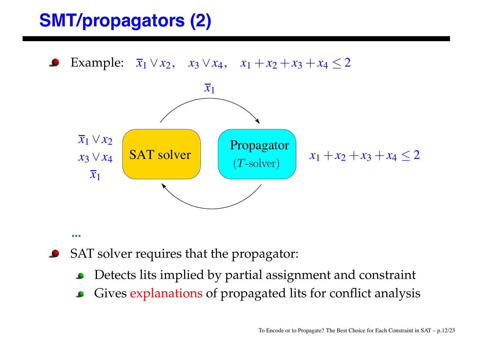Example:  $\overline{x}_1 \vee x_2$ ,  $x_3 \vee x_4$ ,  $x_1 + x_2 + x_3 + x_4 \leq 2$ 



- **...**
- SAT solver requires that the propagator:
	- Detects lits implied by partial assignment and constraint
	- Gives explanations of propagated lits for conflict analysis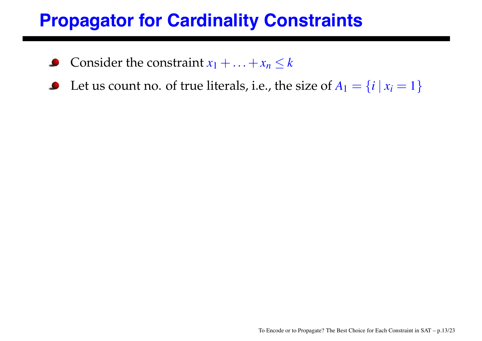#### **Propagator for Cardinality Constraints**

- Consider the constraint  $x_1 + ... + x_n \leq k$ ک
- Let us count no. of true literals, i.e., the size of  $A_1 = \{i \mid x_i = 1\}$  $\bullet$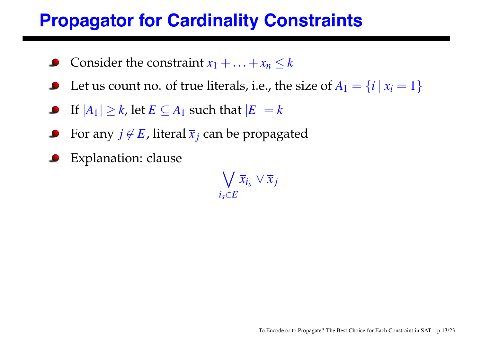#### **Propagator for Cardinality Constraints**

- Consider the constraint  $x_1 + ... + x_n \leq k$
- Let us count no. of true literals, i.e., the size of  $A_1 = \{i \mid x_i = 1\}$
- **If**  $|A_1| \ge k$ , let  $E \subseteq A_1$  such that  $|E| = k$
- For any  $j \notin E$ , literal  $\overline{x}_i$  can be propagated
- Explanation: clause

 $\bigvee \overline{x}_{i_S} \vee \overline{x}_j$  $i_s \in E$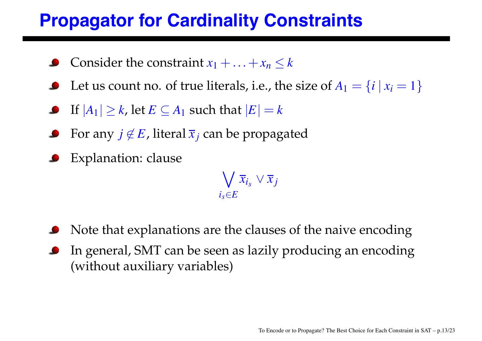#### **Propagator for Cardinality Constraints**

- Consider the constraint  $x_1 + ... + x_n \leq k$
- Let us count no. of true literals, i.e., the size of  $A_1 = \{i \mid x_i = 1\}$
- **If**  $|A_1| \ge k$ , let  $E \subseteq A_1$  such that  $|E| = k$
- For any  $j \notin E$ , literal  $\overline{x}_i$  can be propagated
- Explanation: clause

 $\bigvee \overline{x}_{i_S} \vee \overline{x}_j$  $i_s \in E$ 

- Note that explanations are the clauses of the naive encoding
- In general, SMT can be seen as lazily producing an encoding (without auxiliary variables)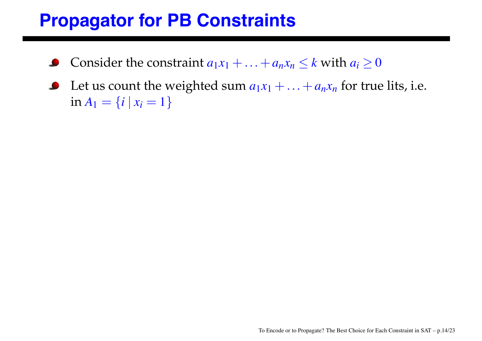#### **Propagator for PB Constraints**

- Consider the constraint  $a_1x_1 + ... + a_nx_n \leq k$  with  $a_i \geq 0$
- Let us count the weighted sum  $a_1x_1 + ... + a_nx_n$  for true lits, i.e.  $\bullet$ in  $A_1 = \{i \mid x_i = 1\}$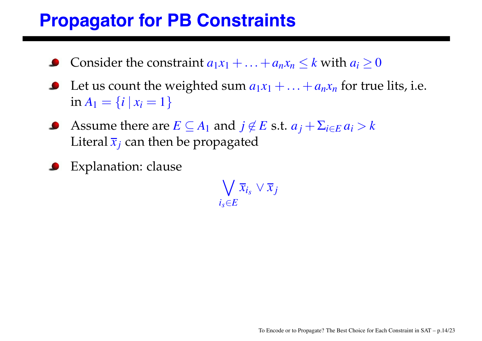#### **Propagator for PB Constraints**

- Consider the constraint  $a_1x_1 + ... + a_nx_n \leq k$  with  $a_i \geq 0$
- Let us count the weighted sum  $a_1x_1 + ... + a_nx_n$  for true lits, i.e. in  $A_1 = \{i \mid x_i = 1\}$
- Assume there are  $E \subseteq A_1$  and  $j \notin E$  s.t.  $a_j + \sum_{i \in E} a_i > k$ Literal  $\bar{x}_i$  can then be propagated
- Explanation: clause

 $\bigvee \overline{x}_{i_S} \vee \overline{x}_j$  $i_s \in E$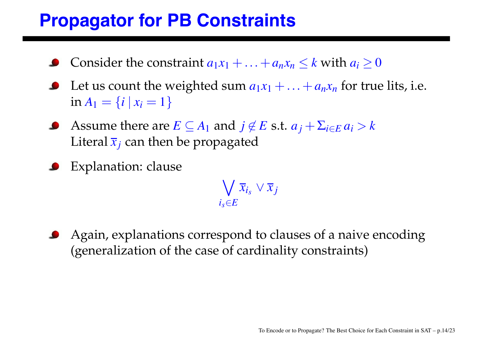#### **Propagator for PB Constraints**

- Consider the constraint  $a_1x_1 + ... + a_nx_n \leq k$  with  $a_i \geq 0$
- Let us count the weighted sum  $a_1x_1 + ... + a_nx_n$  for true lits, i.e. in  $A_1 = \{i \mid x_i = 1\}$
- Assume there are  $E \subseteq A_1$  and  $j \notin E$  s.t.  $a_j + \sum_{i \in E} a_i > k$ Literal  $\bar{x}_i$  can then be propagated
- Explanation: clause

 $\bigvee \overline{x}_{i_S} \vee \overline{x}_j$  $i_s \in E$ 

Again, explanations correspond to clauses of a naive encoding (generalization of the case of cardinality constraints)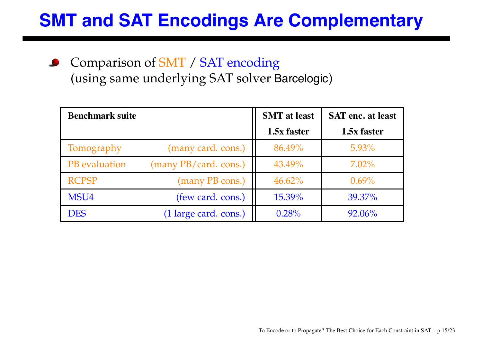#### **SMT and SAT Encodings Are Complementary**

Comparison of SMT / SAT encoding  $\bullet$ (using same underlying SAT solver Barcelogic)

| <b>Benchmark suite</b> |                       | <b>SMT</b> at least | <b>SAT enc. at least</b> |
|------------------------|-----------------------|---------------------|--------------------------|
|                        |                       | 1.5x faster         | 1.5x faster              |
| Tomography             | (many card. cons.)    | 86.49%              | $5.93\%$                 |
| PB evaluation          | (many PB/card. cons.) | 43.49%              | $7.02\%$                 |
| <b>RCPSP</b>           | (many PB cons.)       | $46.62\%$           | $0.69\%$                 |
| MSU4                   | (few card. cons.)     | 15.39%              | 39.37%                   |
| <b>DES</b>             | (1 large card. cons.) | 0.28%               | 92.06%                   |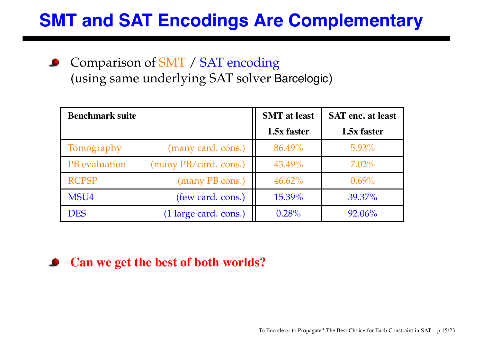#### **SMT and SAT Encodings Are Complementary**

Comparison of SMT / SAT encoding (using same underlying SAT solver Barcelogic)

| <b>Benchmark suite</b> |                       | <b>SMT</b> at least | <b>SAT</b> enc. at least |
|------------------------|-----------------------|---------------------|--------------------------|
|                        |                       | 1.5x faster         | 1.5x faster              |
| Tomography             | (many card. cons.)    | 86.49%              | $5.93\%$                 |
| PB evaluation          | (many PB/card. cons.) | 43.49%              | $7.02\%$                 |
| <b>RCPSP</b>           | (many PB cons.)       | $46.62\%$           | $0.69\%$                 |
| MSU4                   | (few card. cons.)     | 15.39%              | 39.37%                   |
| <b>DES</b>             | (1 large card. cons.) | 0.28%               | 92.06%                   |

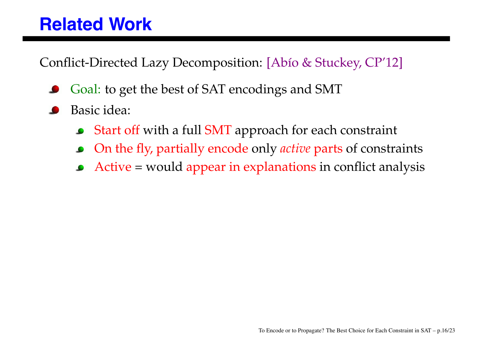#### **Related Work**

Conflict-Directed Lazy Decomposition: [Abío & Stuckey, CP'12]

- Goal: to get the best of SAT encodings and SMT
- Basic idea:
	- Start off with a full SMT approach for each constraint  $\bullet$
	- On the fly, partially encode only *active* parts of constraints  $\bullet$
	- Active = would appear in explanations in conflict analysis  $\bullet$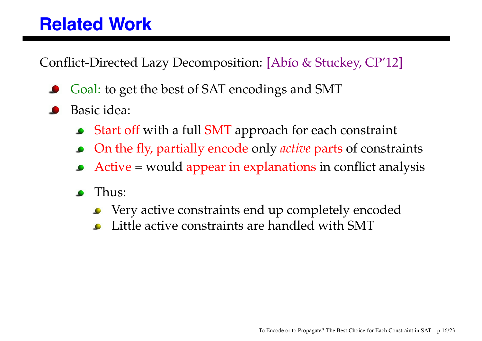#### **Related Work**

Conflict-Directed Lazy Decomposition: [Abío & Stuckey, CP'12]

- Goal: to get the best of SAT encodings and SMT
- Basic idea:
	- Start off with a full SMT approach for each constraint  $\bullet$
	- On the fly, partially encode only *active* parts of constraints
	- Active = would appear in explanations in conflict analysis
	- Thus:  $\bullet$ 
		- Very active constraints end up completely encoded  $\bullet$
		- Little active constraints are handled with SMT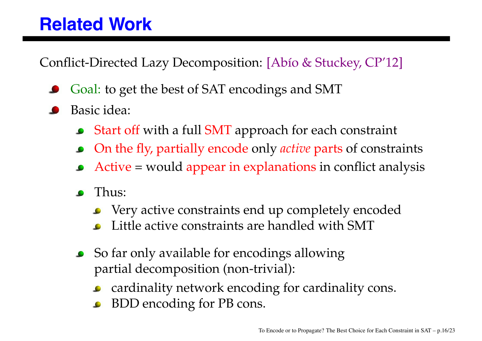#### **Related Work**

Conflict-Directed Lazy Decomposition: [Abío & Stuckey, CP'12]

- Goal: to get the best of SAT encodings and SMT
- Basic idea:
	- Start off with a full SMT approach for each constraint  $\bullet$
	- On the fly, partially encode only *active* parts of constraints
	- Active = would appear in explanations in conflict analysis
	- Thus:  $\bullet$ 
		- Very active constraints end up completely encoded
		- Little active constraints are handled with SMT
	- So far only available for encodings allowing partial decomposition (non-trivial):
		- cardinality network encoding for cardinality cons.  $\bullet$
		- BDD encoding for PB cons.  $\bullet$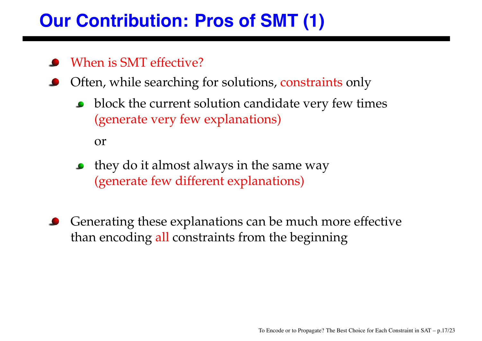# **Our Contribution: Pros of SMT (1)**

#### When is SMT effective?

- Often, while searching for solutions, constraints only
	- **block the current solution candidate very few times** (generate very few explanations)

or

- they do it almost always in the same way (generate few different explanations)
- Generating these explanations can be much more effective than encoding all constraints from the beginning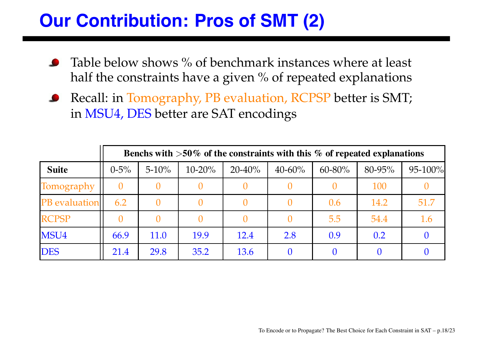# **Our Contribution: Pros of SMT (2)**

- Table below shows % of benchmark instances where at least half the constraints have a given % of repeated explanations
- Recall: in Tomography, PB evaluation, RCPSP better is SMT;  $\bullet$ in MSU4, DES better are SAT encodings

|                      | Benchs with $>50\%$ of the constraints with this % of repeated explanations |            |             |             |             |             |        |         |
|----------------------|-----------------------------------------------------------------------------|------------|-------------|-------------|-------------|-------------|--------|---------|
| <b>Suite</b>         | $0 - 5\%$                                                                   | $5 - 10\%$ | $10 - 20\%$ | $20 - 40\%$ | $40 - 60\%$ | $60 - 80\%$ | 80-95% | 95-100% |
| Tomography           |                                                                             |            |             |             |             |             | 100    |         |
| <b>PB</b> evaluation | 6.2                                                                         |            |             |             |             | 0.6         | 14.2   | 51.7    |
| <b>RCPSP</b>         |                                                                             |            |             |             |             | 5.5         | 54.4   | 1.6     |
| MSU4                 | 66.9                                                                        | 11.0       | 19.9        | 12.4        | 2.8         | 0.9         | 0.2    |         |
| <b>DES</b>           | 21.4                                                                        | 29.8       | 35.2        | 13.6        |             |             |        |         |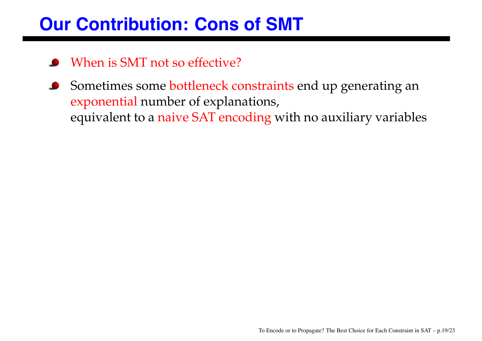#### **Our Contribution: Cons of SMT**

- When is SMT not so effective?
- Sometimes some bottleneck constraints end up generating an exponential number of explanations, equivalent to a naive SAT encoding with no auxiliary variables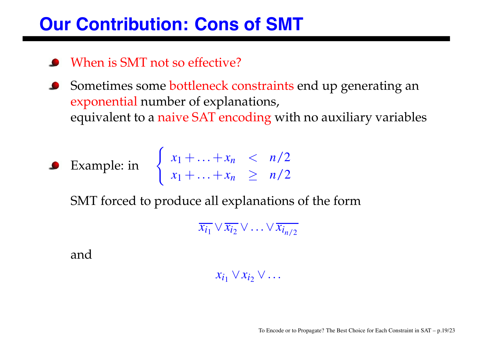#### **Our Contribution: Cons of SMT**

- When is SMT not so effective?
- Sometimes some bottleneck constraints end up generating an exponential number of explanations, equivalent to a naive SAT encoding with no auxiliary variables
	-

Example: in  $\begin{cases} x_1 + ... + x_n < n/2 \\ n \end{cases}$  $x_1 + ... + x_n \geq n/2$ 

SMT forced to produce all explanations of the form

 $\overline{x_{i_1}} \vee \overline{x_{i_2}} \vee \ldots \vee \overline{x_{i_{n/2}}}$ 

and

 $x_{i_1} \vee x_{i_2} \vee \ldots$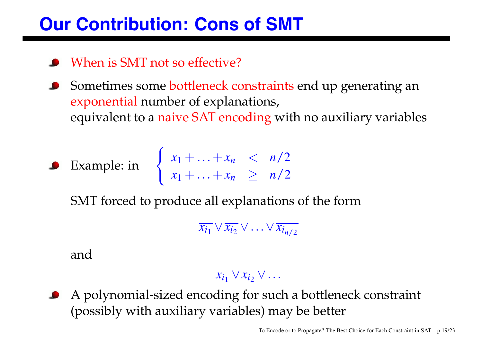#### **Our Contribution: Cons of SMT**

- When is SMT not so effective?
- Sometimes some bottleneck constraints end up generating an exponential number of explanations, equivalent to a naive SAT encoding with no auxiliary variables
	-

Example: in  $\begin{cases} x_1 + ... + x_n < n/2 \\ n \end{cases}$  $x_1 + ... + x_n \geq n/2$ 

SMT forced to produce all explanations of the form

 $\overline{x_{i_1}} \vee \overline{x_{i_2}} \vee \ldots \vee \overline{x_{i_{n/2}}}$ 

and

#### $x_{i_1} \vee x_{i_2} \vee \ldots$

A polynomial-sized encoding for such a bottleneck constraint (possibly with auxiliary variables) may be better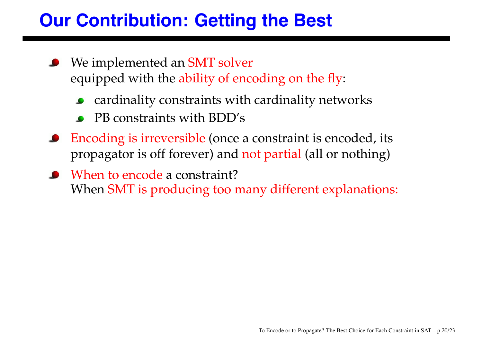# **Our Contribution: Getting the Best**

- We implemented an **SMT** solver equipped with the ability of encoding on the fly:
	- cardinality constraints with cardinality networks  $\bullet$
	- PB constraints with BDD's
- Encoding is irreversible (once a constraint is encoded, its propagator is off forever) and not partial (all or nothing)
- When to encode a constraint? When SMT is producing too many different explanations: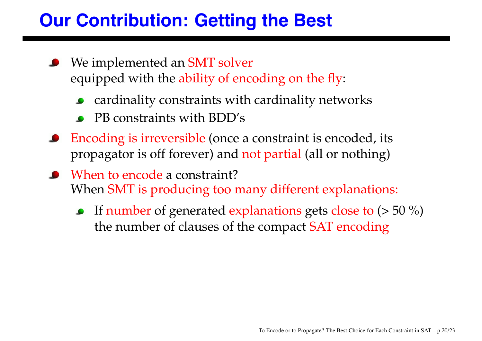# **Our Contribution: Getting the Best**

- We implemented an **SMT** solver equipped with the ability of encoding on the fly:
	- cardinality constraints with cardinality networks  $\bullet$
	- PB constraints with BDD's
- Encoding is irreversible (once a constraint is encoded, its propagator is off forever) and not partial (all or nothing)
- When to encode a constraint? When SMT is producing too many different explanations:
	- **If number of generated explanations gets close to**  $(> 50\%)$ the number of clauses of the compact SAT encoding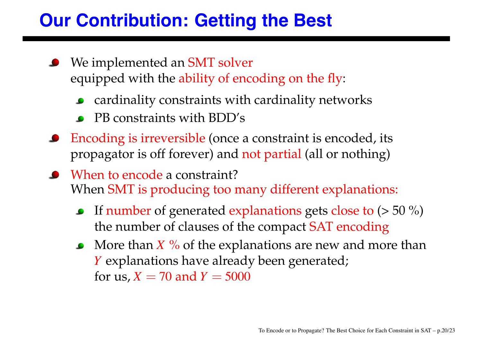# **Our Contribution: Getting the Best**

- We implemented an **SMT** solver equipped with the ability of encoding on the fly:
	- cardinality constraints with cardinality networks
	- PB constraints with BDD's
- Encoding is irreversible (once a constraint is encoded, its propagator is off forever) and not partial (all or nothing)
- When to encode a constraint? When SMT is producing too many different explanations:
	- If number of generated explanations gets close to  $(> 50\%)$ the number of clauses of the compact SAT encoding
	- More than  $X$  % of the explanations are new and more than *Y* explanations have already been generated; for us,  $X = 70$  and  $Y = 5000$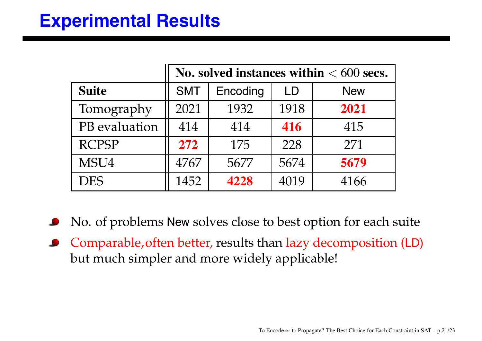#### **Experimental Results**

|               | No. solved instances within $< 600$ secs. |          |      |            |  |
|---------------|-------------------------------------------|----------|------|------------|--|
| <b>Suite</b>  | <b>SMT</b>                                | Encoding | LD   | <b>New</b> |  |
| Tomography    | 2021                                      | 1932     | 1918 | 2021       |  |
| PB evaluation | 414                                       | 414      | 416  | 415        |  |
| <b>RCPSP</b>  | 272                                       | 175      | 228  | 271        |  |
| MSU4          | 4767                                      | 5677     | 5674 | 5679       |  |
| <b>DES</b>    | 1452                                      | 4228     | 4019 | 4166       |  |

- No. of problems New solves close to best option for each suite
- Comparable,often better, results than lazy decomposition (LD) but much simpler and more widely applicable!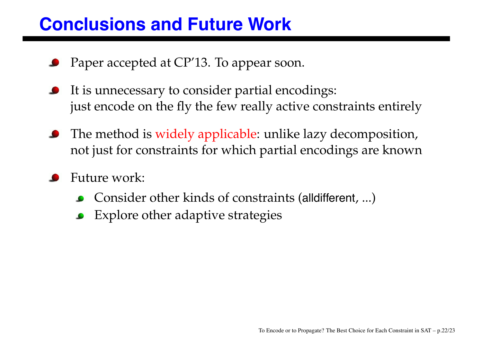#### **Conclusions and Future Work**

- Paper accepted at CP'13. To appear soon.
- It is unnecessary to consider partial encodings: just encode on the fly the few really active constraints entirely
- The method is widely applicable: unlike lazy decomposition, not just for constraints for which partial encodings are known
- Future work:
	- Consider other kinds of constraints (alldifferent, ...)
	- Explore other adaptive strategies